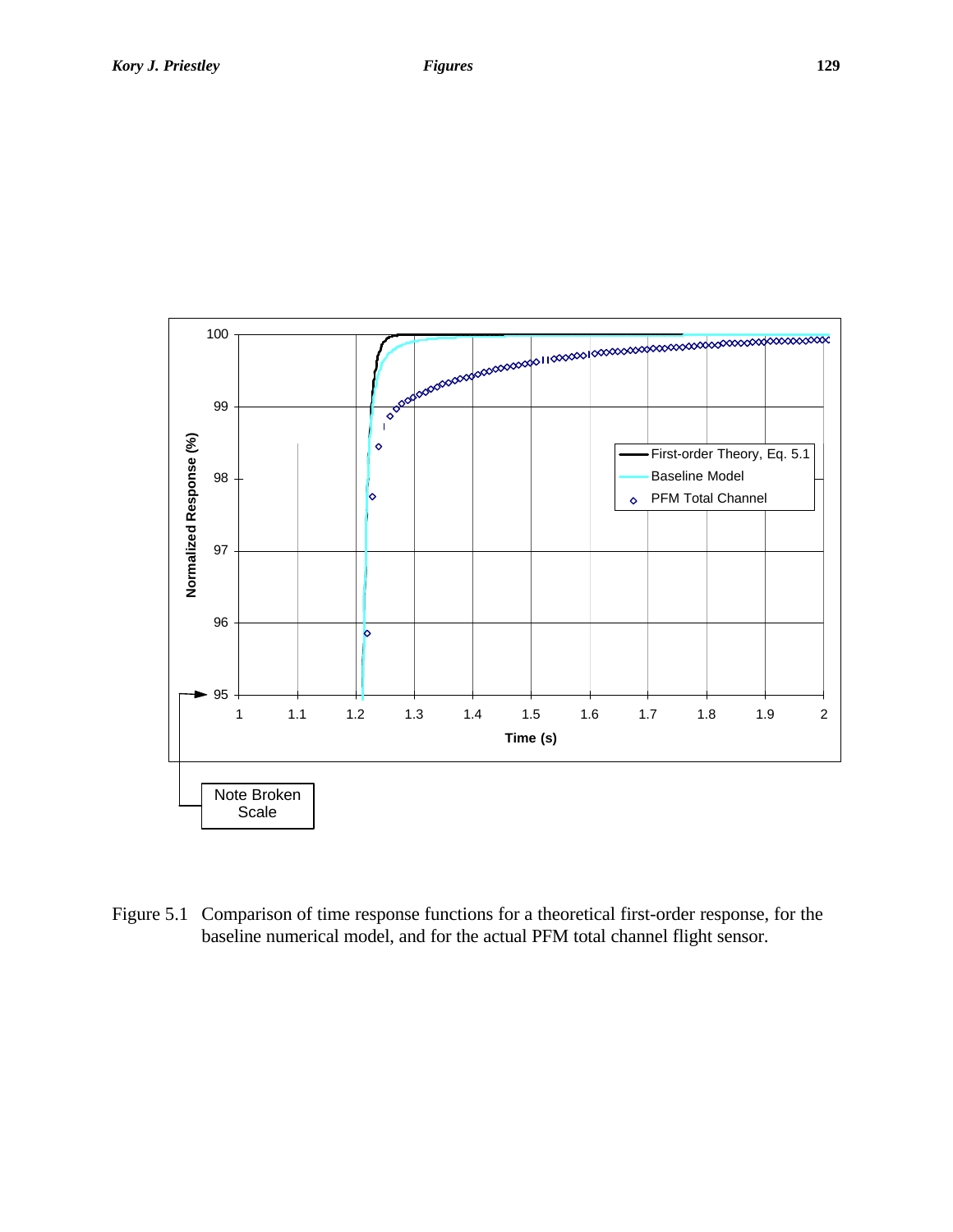

Figure 5.1 Comparison of time response functions for a theoretical first-order response, for the baseline numerical model, and for the actual PFM total channel flight sensor.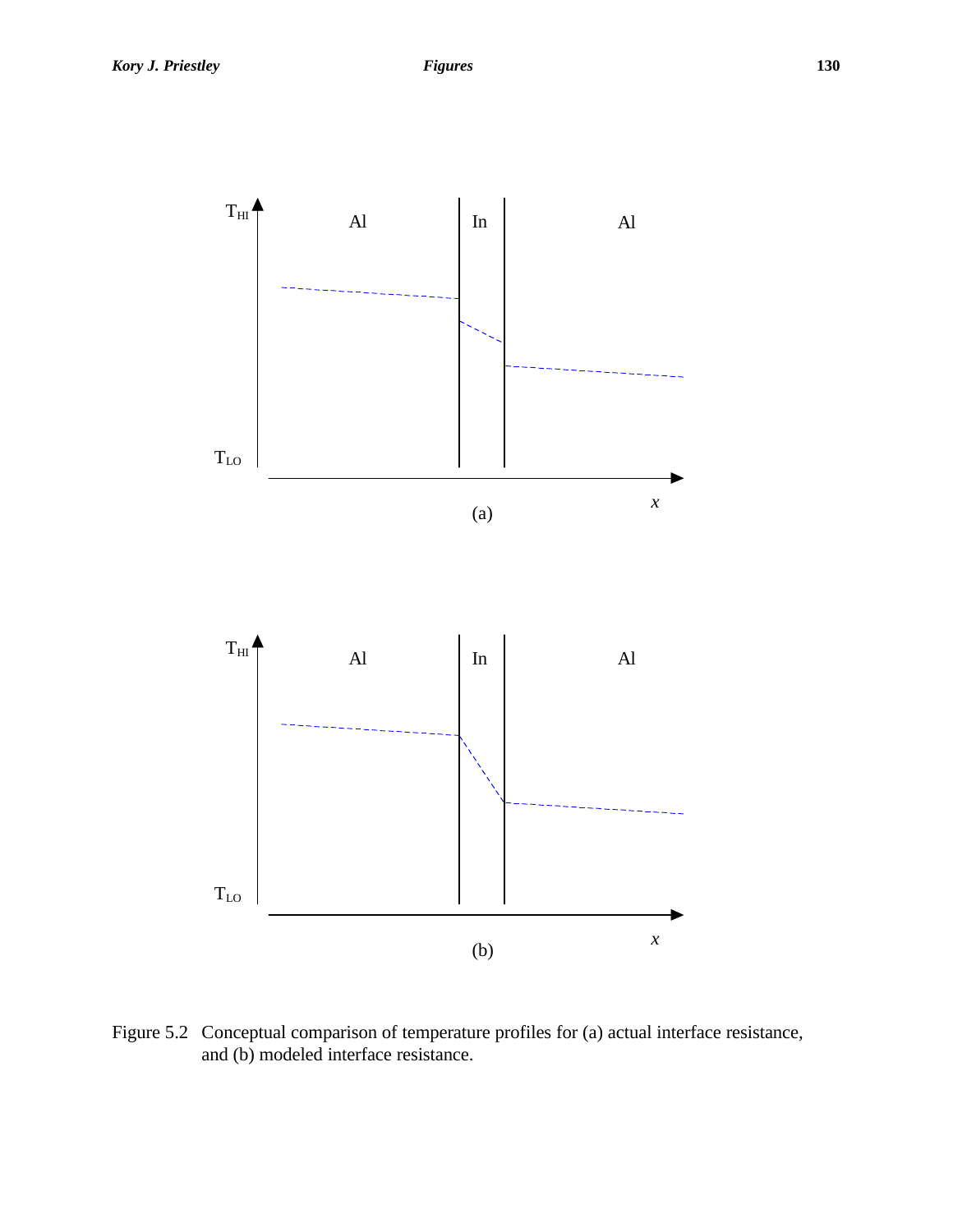

Figure 5.2 Conceptual comparison of temperature profiles for (a) actual interface resistance, and (b) modeled interface resistance.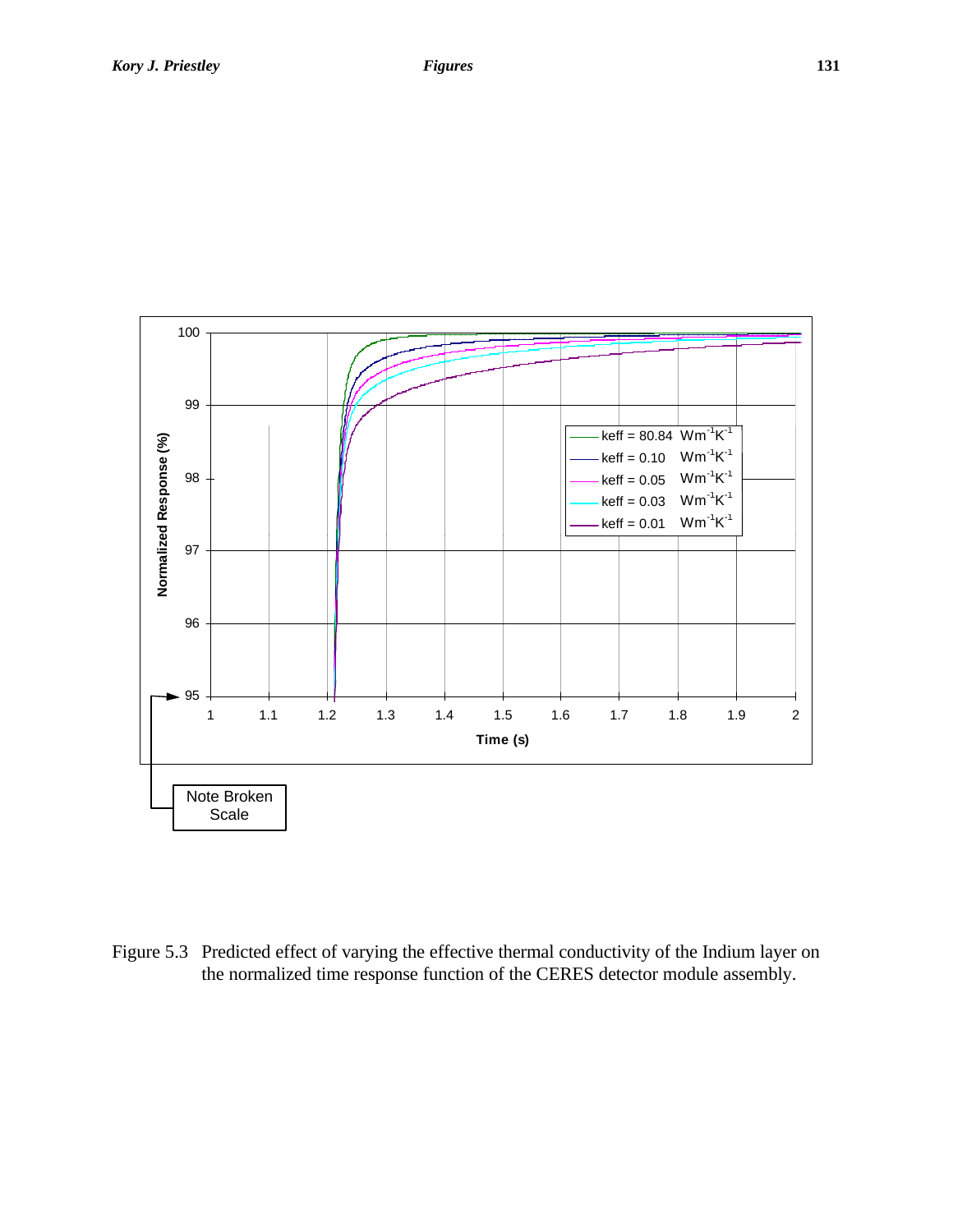

Figure 5.3 Predicted effect of varying the effective thermal conductivity of the Indium layer on the normalized time response function of the CERES detector module assembly.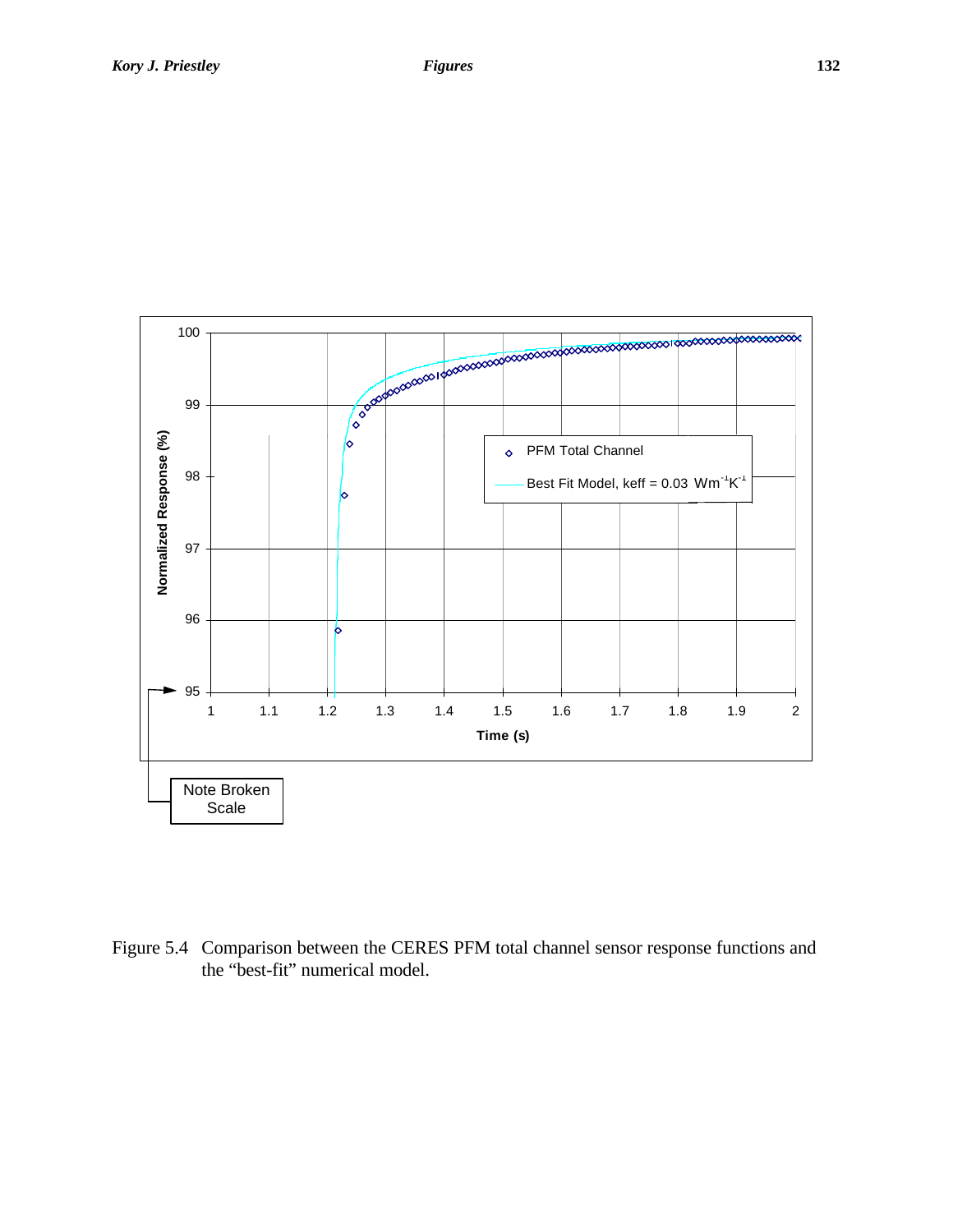

Figure 5.4 Comparison between the CERES PFM total channel sensor response functions and the "best-fit" numerical model.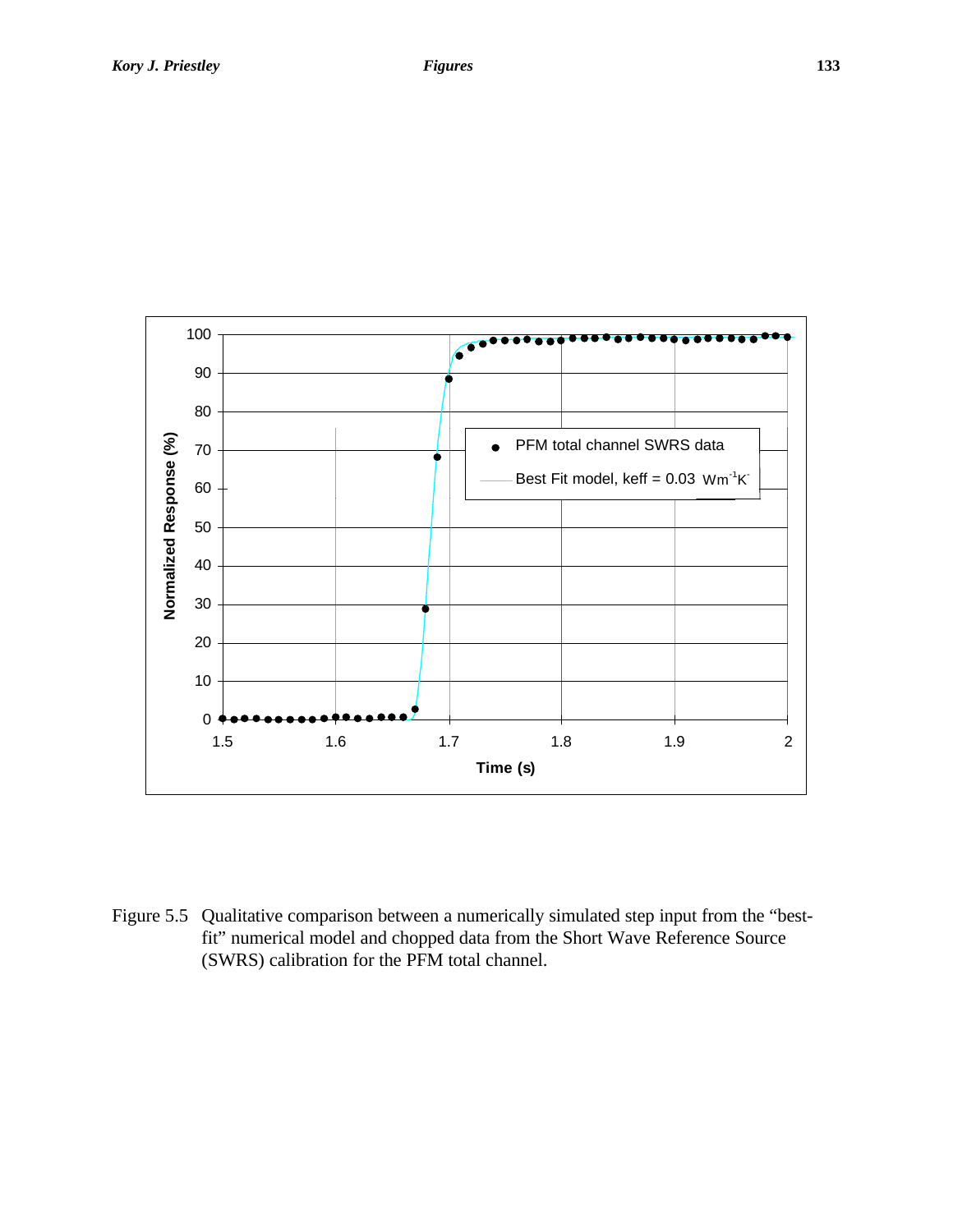

Figure 5.5 Qualitative comparison between a numerically simulated step input from the "bestfit" numerical model and chopped data from the Short Wave Reference Source (SWRS) calibration for the PFM total channel.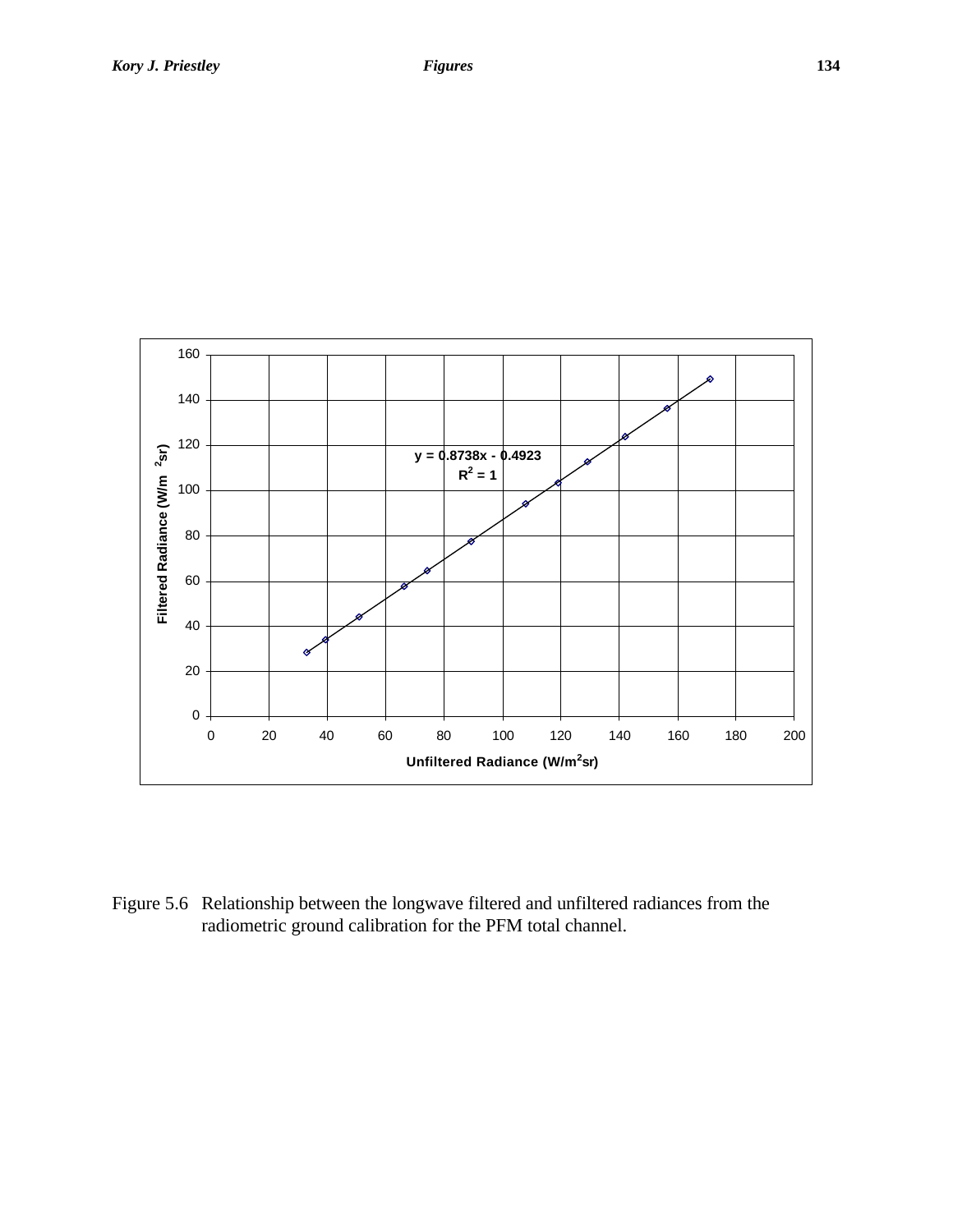

Figure 5.6 Relationship between the longwave filtered and unfiltered radiances from the radiometric ground calibration for the PFM total channel.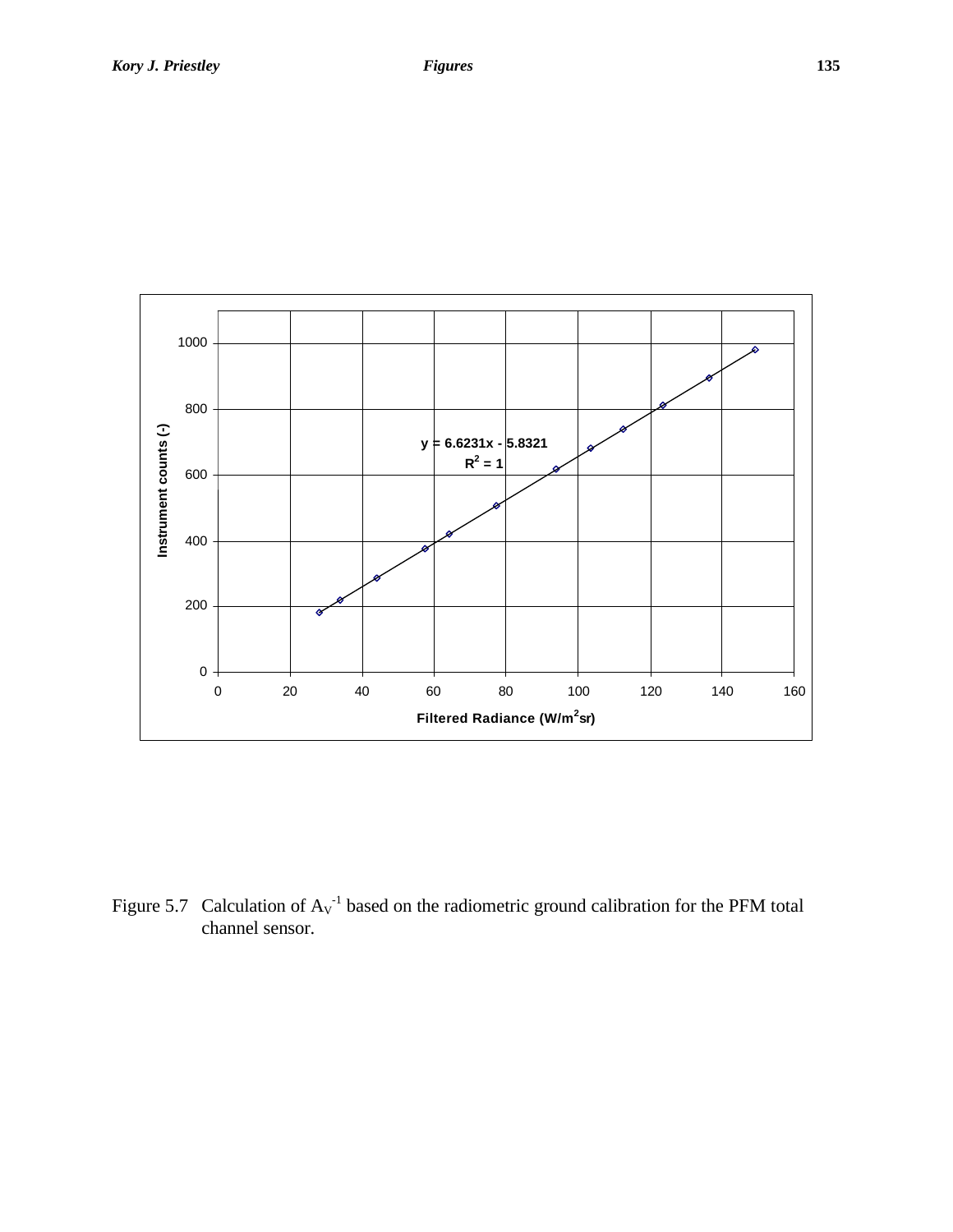

Figure 5.7 Calculation of  $Av^{-1}$  based on the radiometric ground calibration for the PFM total channel sensor.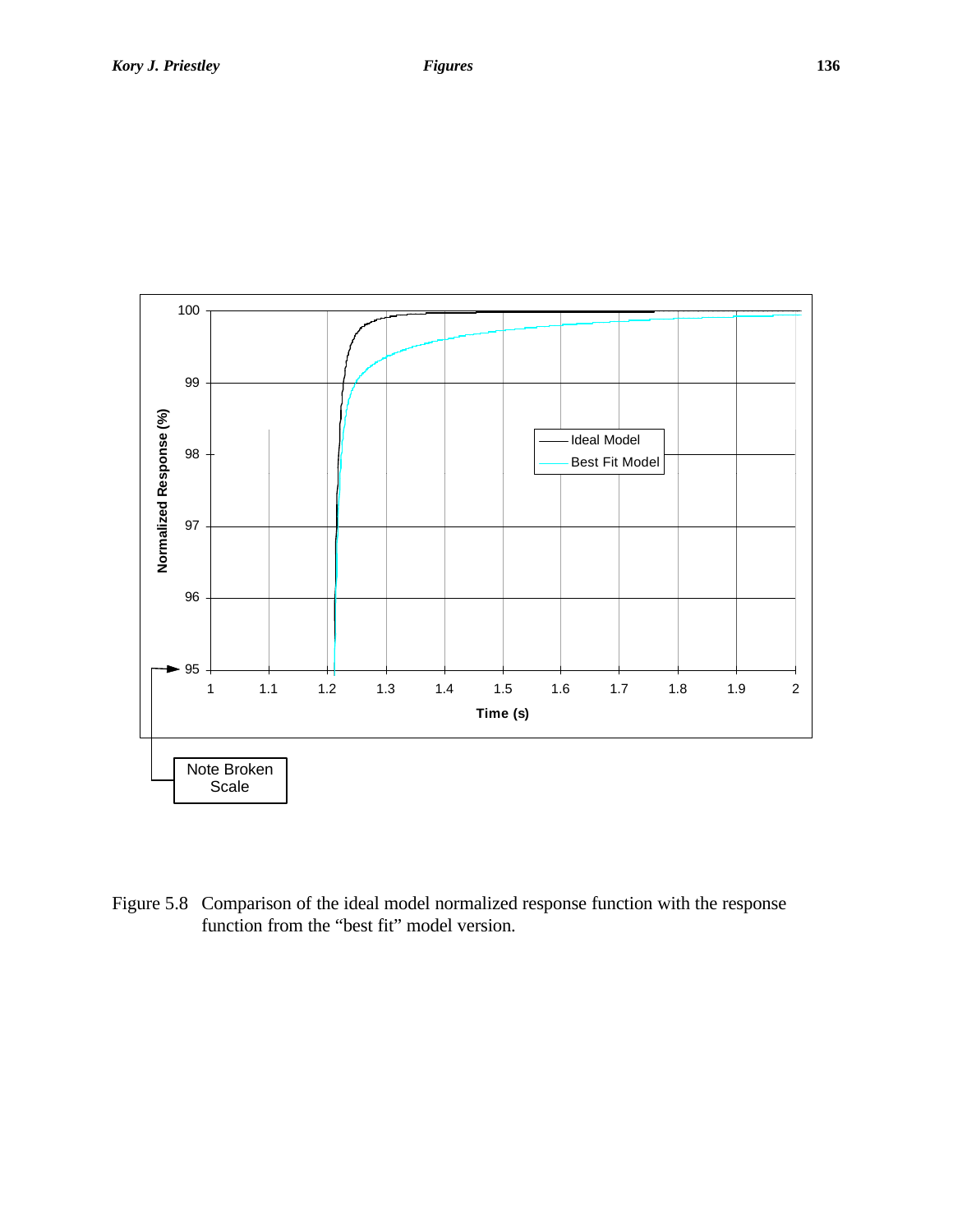

Figure 5.8 Comparison of the ideal model normalized response function with the response function from the "best fit" model version.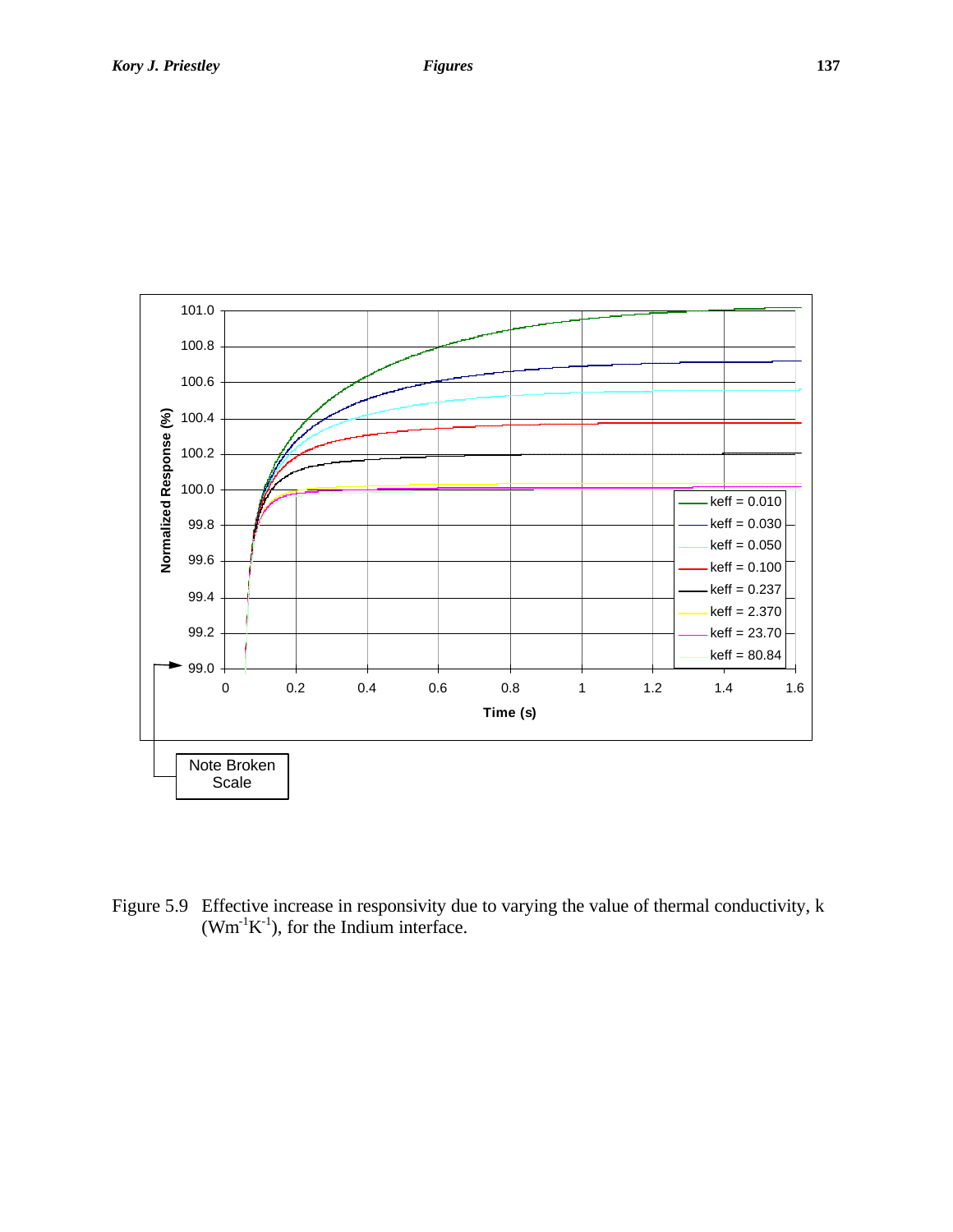

Figure 5.9 Effective increase in responsivity due to varying the value of thermal conductivity, k  $(Wm^{-1}K^{-1})$ , for the Indium interface.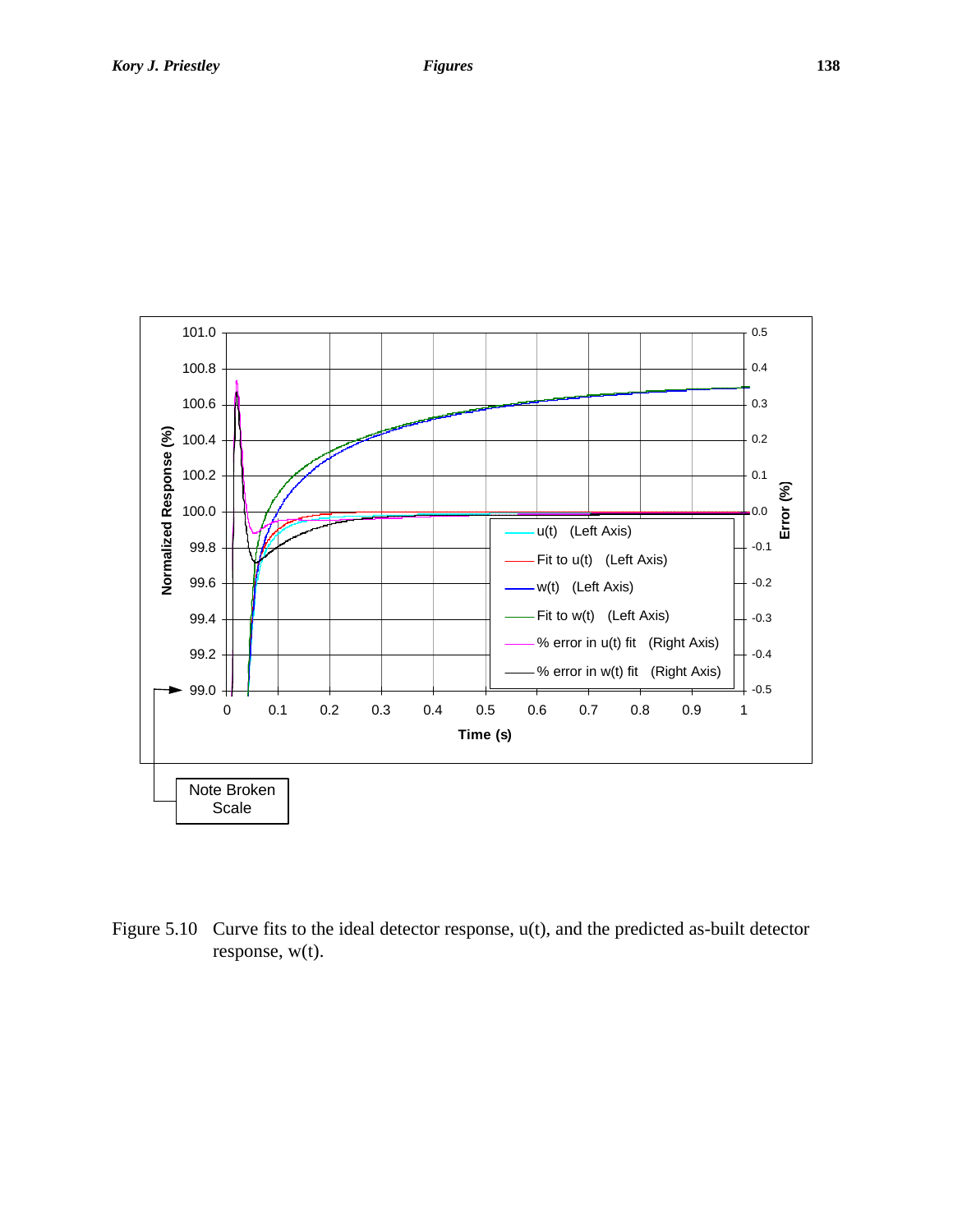

Figure 5.10 Curve fits to the ideal detector response, u(t), and the predicted as-built detector response, w(t).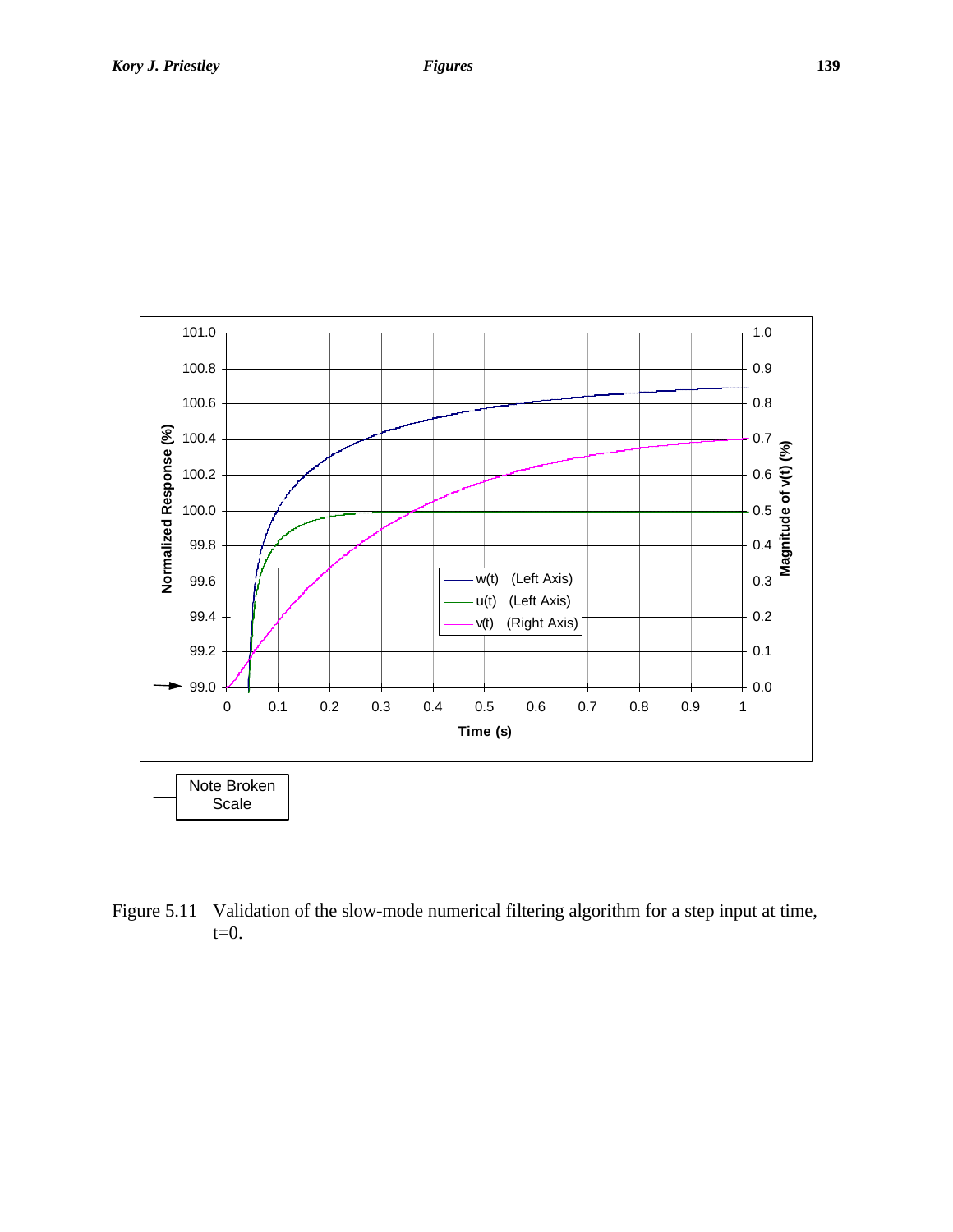

Figure 5.11 Validation of the slow-mode numerical filtering algorithm for a step input at time,  $t=0$ .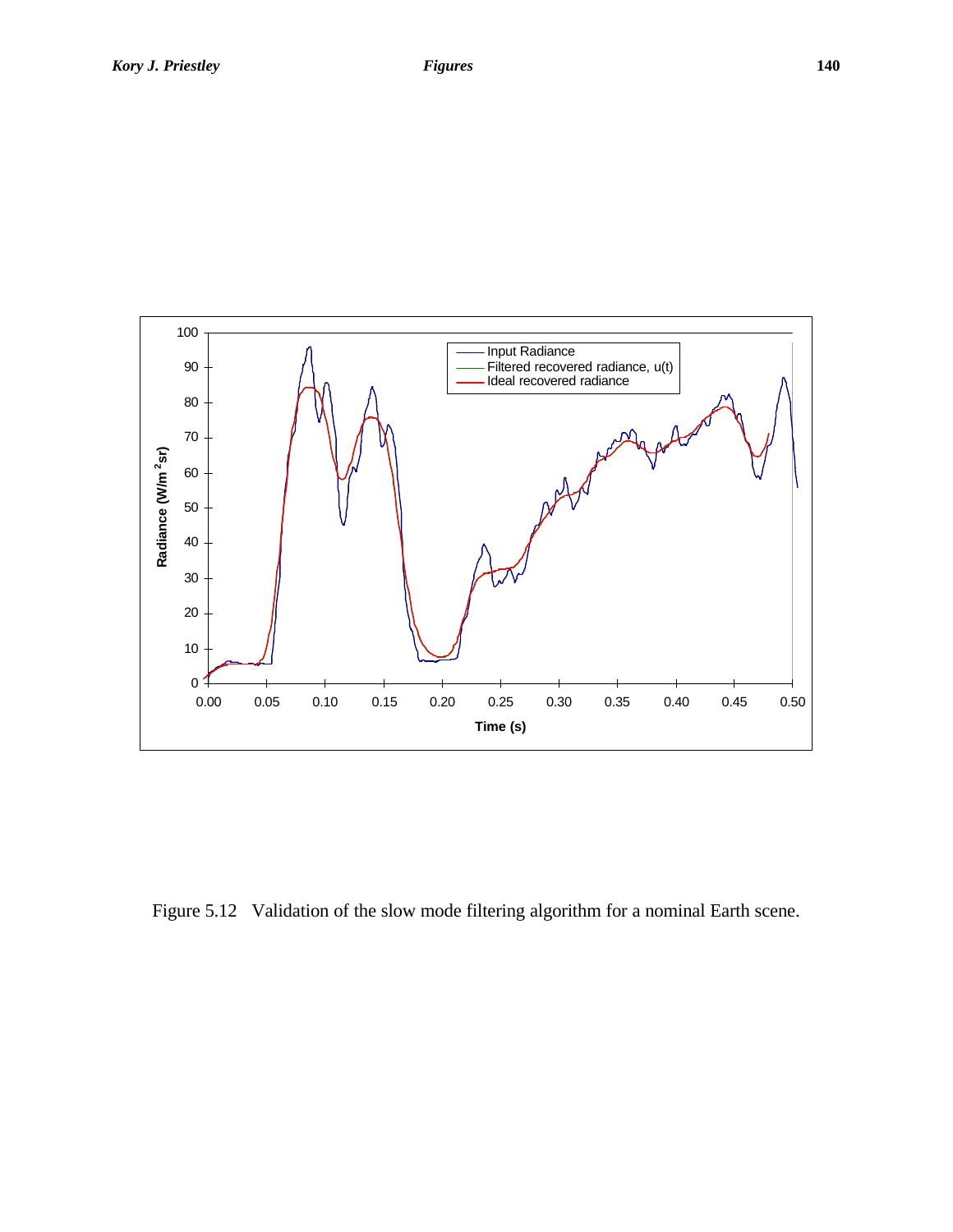

Figure 5.12 Validation of the slow mode filtering algorithm for a nominal Earth scene.